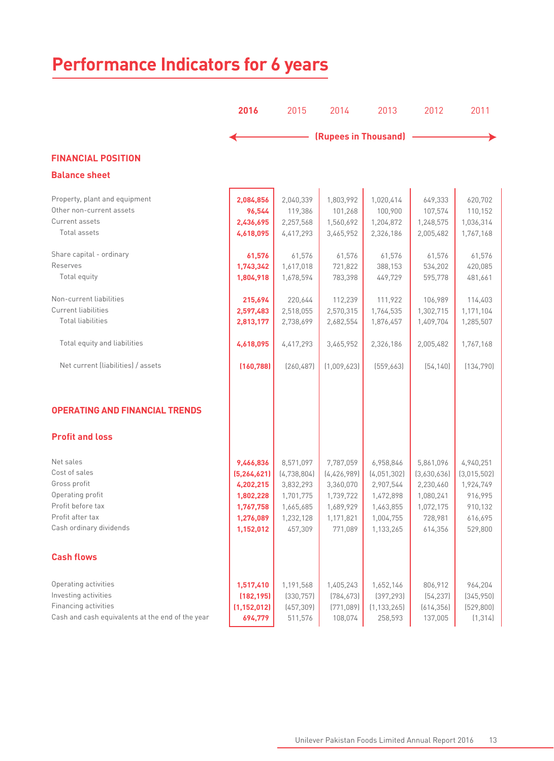# **Performance Indicators for 6 years**

|                                                                                                                                    | 2016                                                                                        | 2015                                                                                    | 2014                                                                                      | 2013                                                                                      | 2012                                                                                  | 2011                                                                              |
|------------------------------------------------------------------------------------------------------------------------------------|---------------------------------------------------------------------------------------------|-----------------------------------------------------------------------------------------|-------------------------------------------------------------------------------------------|-------------------------------------------------------------------------------------------|---------------------------------------------------------------------------------------|-----------------------------------------------------------------------------------|
|                                                                                                                                    |                                                                                             |                                                                                         |                                                                                           | (Rupees in Thousand)                                                                      |                                                                                       |                                                                                   |
| <b>FINANCIAL POSITION</b>                                                                                                          |                                                                                             |                                                                                         |                                                                                           |                                                                                           |                                                                                       |                                                                                   |
| <b>Balance sheet</b>                                                                                                               |                                                                                             |                                                                                         |                                                                                           |                                                                                           |                                                                                       |                                                                                   |
| Property, plant and equipment<br>Other non-current assets<br>Current assets<br>Total assets                                        | 2,084,856<br>96,544<br>2,436,695<br>4,618,095                                               | 2,040,339<br>119,386<br>2,257,568<br>4,417,293                                          | 1,803,992<br>101,268<br>1,560,692<br>3,465,952                                            | 1,020,414<br>100,900<br>1,204,872<br>2,326,186                                            | 649,333<br>107,574<br>1,248,575<br>2,005,482                                          | 620,702<br>110,152<br>1,036,314<br>1,767,168                                      |
| Share capital - ordinary<br>Reserves<br>Total equity                                                                               | 61,576<br>1,743,342<br>1,804,918                                                            | 61,576<br>1,617,018<br>1,678,594                                                        | 61,576<br>721,822<br>783,398                                                              | 61,576<br>388,153<br>449,729                                                              | 61,576<br>534,202<br>595,778                                                          | 61,576<br>420,085<br>481,661                                                      |
| Non-current liabilities<br><b>Current liabilities</b><br><b>Total liabilities</b><br>Total equity and liabilities                  | 215,694<br>2,597,483<br>2,813,177                                                           | 220,644<br>2,518,055<br>2,738,699                                                       | 112,239<br>2,570,315<br>2,682,554                                                         | 111,922<br>1,764,535<br>1,876,457                                                         | 106,989<br>1,302,715<br>1,409,704                                                     | 114,403<br>1,171,104<br>1,285,507                                                 |
| Net current (liabilities) / assets                                                                                                 | 4,618,095<br>(160, 788)                                                                     | 4,417,293<br>[260, 487]                                                                 | 3,465,952<br>[1.009.623]                                                                  | 2,326,186<br>[559,663]                                                                    | 2,005,482<br>[54, 140]                                                                | 1,767,168<br>(134, 790)                                                           |
| <b>OPERATING AND FINANCIAL TRENDS</b>                                                                                              |                                                                                             |                                                                                         |                                                                                           |                                                                                           |                                                                                       |                                                                                   |
| <b>Profit and loss</b>                                                                                                             |                                                                                             |                                                                                         |                                                                                           |                                                                                           |                                                                                       |                                                                                   |
| Net sales<br>Cost of sales<br>Gross profit<br>Operating profit<br>Profit before tax<br>Profit after tax<br>Cash ordinary dividends | 9,466,836<br>(5, 264, 621)<br>4,202,215<br>1,802,228<br>1,767,758<br>1,276,089<br>1,152,012 | 8,571,097<br>(4,738,804)<br>3,832,293<br>1,701,775<br>1,665,685<br>1,232,128<br>457,309 | 7,787,059<br>[4, 426, 989]<br>3,360,070<br>1,739,722<br>1,689,929<br>1,171,821<br>771,089 | 6,958,846<br>(4,051,302)<br>2,907,544<br>1,472,898<br>1,463,855<br>1,004,755<br>1,133,265 | 5,861,096<br>(3,630,636)<br>2,230,460<br>1,080,241<br>1,072,175<br>728,981<br>614,356 | 4,940,251<br>(3,015,502)<br>1,924,749<br>916,995<br>910,132<br>616,695<br>529,800 |
| <b>Cash flows</b>                                                                                                                  |                                                                                             |                                                                                         |                                                                                           |                                                                                           |                                                                                       |                                                                                   |
| Operating activities<br>Investing activities<br>Financing activities<br>Cash and cash equivalents at the end of the year           | 1,517,410<br>(182, 195)<br>(1, 152, 012)<br>694,779                                         | 1,191,568<br>[330, 757]<br>(457, 309)<br>511,576                                        | 1,405,243<br>[784, 673]<br>(771, 089)<br>108,074                                          | 1,652,146<br>(397, 293)<br>(1, 133, 265)<br>258,593                                       | 806,912<br>[54, 237]<br>(614, 356)<br>137,005                                         | 964,204<br>(345, 950)<br>(529, 800)<br>(1, 314)                                   |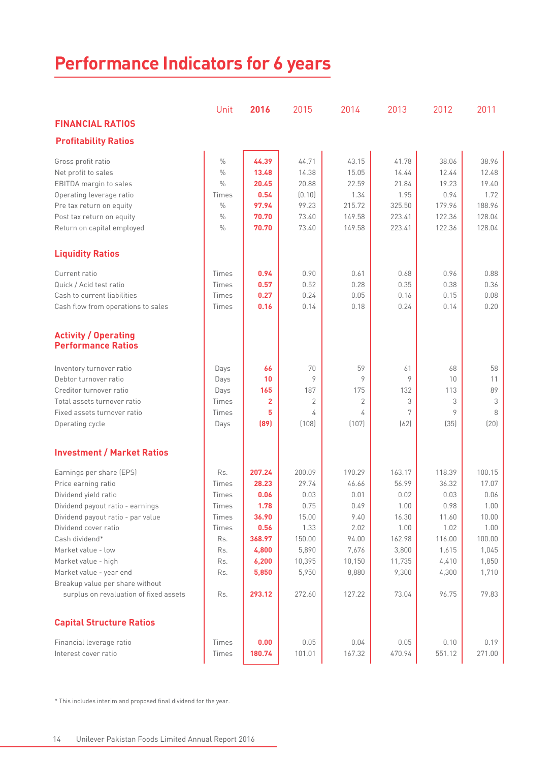| <b>Performance Indicators for 6 years</b>                |               |                |        |                |        |        |        |
|----------------------------------------------------------|---------------|----------------|--------|----------------|--------|--------|--------|
|                                                          | Unit          | 2016           | 2015   | 2014           | 2013   | 2012   | 2011   |
| <b>FINANCIAL RATIOS</b>                                  |               |                |        |                |        |        |        |
| <b>Profitability Ratios</b>                              |               |                |        |                |        |        |        |
|                                                          |               |                |        |                |        |        |        |
| Gross profit ratio                                       | $\%$          | 44.39          | 44.71  | 43.15          | 41.78  | 38.06  | 38.96  |
| Net profit to sales                                      | $\%$          | 13.48          | 14.38  | 15.05          | 14.44  | 12.44  | 12.48  |
| EBITDA margin to sales                                   | $\%$          | 20.45          | 20.88  | 22.59          | 21.84  | 19.23  | 19.40  |
| Operating leverage ratio                                 | Times         | 0.54           | (0.10) | 1.34           | 1.95   | 0.94   | 1.72   |
| Pre tax return on equity                                 | $\%$          | 97.94          | 99.23  | 215.72         | 325.50 | 179.96 | 188.96 |
| Post tax return on equity                                | $\%$          | 70.70          | 73.40  | 149.58         | 223.41 | 122.36 | 128.04 |
| Return on capital employed                               | $\frac{0}{0}$ | 70.70          | 73.40  | 149.58         | 223.41 | 122.36 | 128.04 |
| <b>Liquidity Ratios</b>                                  |               |                |        |                |        |        |        |
| Current ratio                                            | Times         | 0.94           | 0.90   | 0.61           | 0.68   | 0.96   | 0.88   |
| Quick / Acid test ratio                                  | Times         | 0.57           | 0.52   | 0.28           | 0.35   | 0.38   | 0.36   |
| Cash to current liabilities                              | Times         | 0.27           | 0.24   | 0.05           | 0.16   | 0.15   | 0.08   |
| Cash flow from operations to sales                       | Times         | 0.16           | 0.14   | 0.18           | 0.24   | 0.14   | 0.20   |
| <b>Activity / Operating</b><br><b>Performance Ratios</b> |               |                |        |                |        |        |        |
| Inventory turnover ratio                                 | Days          | 66             | 70     | 59             | 61     | 68     | 58     |
| Debtor turnover ratio                                    | Days          | 10             | 9      | 9              | 9      | 10     | 11     |
| Creditor turnover ratio                                  | Days          | 165            | 187    | 175            | 132    | 113    | 89     |
| Total assets turnover ratio                              | Times         | $\overline{2}$ | 2      | $\overline{2}$ | 3      | 3      | 3      |
| Fixed assets turnover ratio                              | Times         | 5              | 4      | 4              | 7      | 9      | 8      |
| Operating cycle                                          | Days          | [89]           | (108)  | (107)          | (62)   | (35)   | (20)   |
| <b>Investment / Market Ratios</b>                        |               |                |        |                |        |        |        |
| Earnings per share (EPS)                                 | Rs.           | 207.24         | 200.09 | 190.29         | 163.17 | 118.39 | 100.15 |
| Price earning ratio                                      | Times         | 28.23          | 29.74  | 46.66          | 56.99  | 36.32  | 17.07  |
| Dividend yield ratio                                     | Times         | 0.06           | 0.03   | 0.01           | 0.02   | 0.03   | 0.06   |
| Dividend payout ratio - earnings                         | Times         | 1.78           | 0.75   | 0.49           | 1.00   | 0.98   | 1.00   |
| Dividend payout ratio - par value                        | Times         | 36.90          | 15.00  | 9.40           | 16.30  | 11.60  | 10.00  |
| Dividend cover ratio                                     | Times         | 0.56           | 1.33   | 2.02           | 1.00   | 1.02   | 1.00   |
| Cash dividend*                                           | Rs.           | 368.97         | 150.00 | 94.00          | 162.98 | 116.00 | 100.00 |
| Market value - low                                       | Rs.           | 4,800          | 5,890  | 7,676          | 3,800  | 1,615  | 1,045  |
| Market value - high                                      | Rs.           | 6,200          | 10,395 | 10,150         | 11,735 | 4,410  | 1,850  |
| Market value - year end                                  | Rs.           | 5,850          | 5,950  | 8,880          | 9,300  | 4,300  | 1,710  |
| Breakup value per share without                          |               |                |        |                |        |        |        |
| surplus on revaluation of fixed assets                   | Rs.           | 293.12         | 272.60 | 127.22         | 73.04  | 96.75  | 79.83  |
| <b>Capital Structure Ratios</b>                          |               |                |        |                |        |        |        |
| Financial leverage ratio                                 | Times         | 0.00           | 0.05   | 0.04           | 0.05   | 0.10   | 0.19   |
| Interest cover ratio                                     | Times         | 180.74         | 101.01 | 167.32         | 470.94 | 551.12 | 271.00 |
|                                                          |               |                |        |                |        |        |        |

\* This includes interim and proposed final dividend for the year.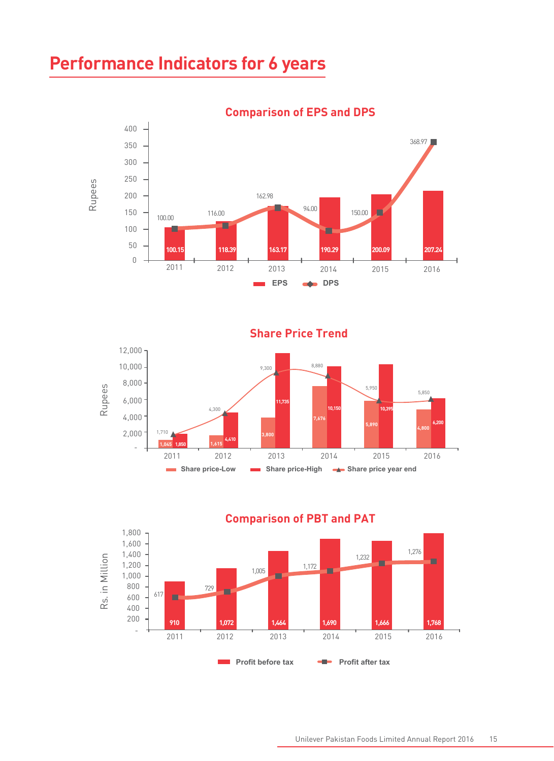# **Performance Indicators for 6 years**



**Comparison of EPS and DPS** 



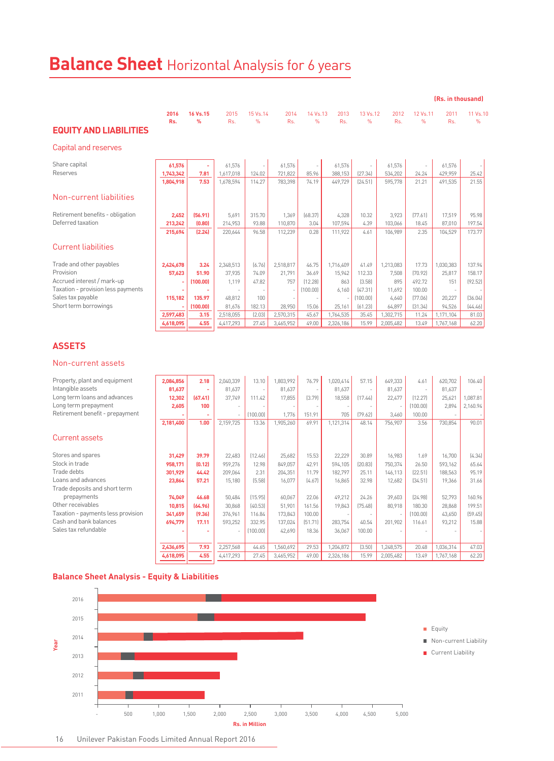# **Balance Sheet** Horizontal Analysis for 6 years

|                                    |             |                |             |                           |             |               |             |               |             |                            | (Rs. in thousand) |                  |
|------------------------------------|-------------|----------------|-------------|---------------------------|-------------|---------------|-------------|---------------|-------------|----------------------------|-------------------|------------------|
| <b>EQUITY AND LIABILITIES</b>      | 2016<br>Rs. | 16 Vs.15<br>%  | 2015<br>Rs. | 15 Vs.14<br>$\frac{9}{6}$ | 2014<br>Rs. | 14 Vs.13<br>% | 2013<br>Rs. | 13 Vs.12<br>% | 2012<br>Rs. | 12 Vs. 11<br>$\frac{9}{6}$ | 2011<br>Rs.       | 11 Vs.10<br>$\%$ |
| Capital and reserves               |             |                |             |                           |             |               |             |               |             |                            |                   |                  |
| Share capital                      | 61.576      | ٠              | 61.576      |                           | 61.576      |               | 61.576      | $\sim$        | 61.576      |                            | 61.576            |                  |
| Reserves                           | 1,743,342   | 7.81           | 1,617,018   | 124.02                    | 721,822     | 85.96         | 388,153     | [27.34]       | 534,202     | 24.24                      | 429,959           | 25.42            |
|                                    | 1,804,918   | 7.53           | 1,678,594   | 114.27                    | 783.398     | 74.19         | 449.729     | [24.51]       | 595.778     | 21.21                      | 491,535           | 21.55            |
| Non-current liabilities            |             |                |             |                           |             |               |             |               |             |                            |                   |                  |
| Retirement benefits - obligation   | 2.452       | [56.91]        | 5.691       | 315.70                    | 1.369       | [68.37]       | 4.328       | 10.32         | 3.923       | [77.61]                    | 17.519            | 95.98            |
| Deferred taxation                  | 213,242     | (0.80)         | 214,953     | 93.88                     | 110,870     | 3.04          | 107,594     | 4.39          | 103.066     | 18.45                      | 87,010            | 197.54           |
|                                    | 215,694     | [2.24]         | 220,644     | 96.58                     | 112.239     | 0.28          | 111.922     | 4.61          | 106.989     | 2.35                       | 104,529           | 173.77           |
| <b>Current liabilities</b>         |             |                |             |                           |             |               |             |               |             |                            |                   |                  |
| Trade and other payables           | 2,424,678   | 3.24           | 2.348.513   | [6.76]                    | 2.518.817   | 46.75         | 1.716.409   | 41.49         | 1.213.083   | 17.73                      | 1.030.383         | 137.94           |
| Provision                          | 57.623      | 51.90          | 37.935      | 74.09                     | 21.791      | 36.69         | 15.942      | 112.33        | 7.508       | [70.92]                    | 25.817            | 158.17           |
| Accrued interest / mark-up         |             | (100.00)       | 1.119       | 47.82                     | 757         | [12.28]       | 863         | [3,58]        | 895         | 492.72                     | 151               | [92.52]          |
| Taxation - provision less payments |             | $\blacksquare$ |             |                           |             | (100.00)      | 6.160       | [47.31]       | 11.692      | 100.00                     |                   |                  |
| Sales tax payable                  | 115,182     | 135.97         | 48.812      | 100                       |             |               |             | [100.00]      | 4.640       | [77.06]                    | 20,227            | [36.04]          |
| Short term borrowings              |             | (100.00)       | 81,676      | 182.13                    | 28,950      | 15.06         | 25,161      | [61.23]       | 64.897      | [31.34]                    | 94.526            | [44.46]          |
|                                    | 2,597,483   | 3.15           | 2,518,055   | [2.03]                    | 2,570,315   | 45.67         | 1,764,535   | 35.45         | 1,302,715   | 11.24                      | 1.171.104         | 81.03            |
|                                    | 4.618.095   | 4.55           | 4.417.293   | 27.45                     | 3.465.952   | 49.00         | 2,326,186   | 15.99         | 2.005.482   | 13.49                      | 1.767.168         | 62.20            |

### **ASSETS**

#### Non-current assets

| Property, plant and equipment      | 2,084,856 | 2.18    | 2,040,339 | 13.10    | 1,803,992 | 76.79   | 1.020.414 | 57.15    | 649.333   | 4.61     | 620,702   | 106.40   |
|------------------------------------|-----------|---------|-----------|----------|-----------|---------|-----------|----------|-----------|----------|-----------|----------|
| Intangible assets                  | 81,637    |         | 81,637    | $\sim$   | 81,637    |         | 81,637    |          | 81,637    | $\sim$   | 81,637    |          |
| Long term loans and advances       | 12,302    | (67.41) | 37.749    | 111.42   | 17,855    | [3.79]  | 18,558    | [17.44]  | 22,477    | [12.27]  | 25,621    | 1.087.81 |
| Long term prepayment               | 2,605     | 100     |           |          |           |         |           |          |           | (100.00] | 2,894     | 2.160.94 |
| Retirement benefit - prepayment    |           |         |           | (100.00) | 1,776     | 151.91  | 705       | [79.62]  | 3,460     | 100.00   |           |          |
|                                    | 2,181,400 | 1.00    | 2,159,725 | 13.36    | 1,905,260 | 69.91   | 1,121,314 | 48.14    | 756,907   | 3.56     | 730,854   | 90.01    |
| Current assets                     |           |         |           |          |           |         |           |          |           |          |           |          |
| Stores and spares                  | 31,429    | 39.79   | 22,483    | [12.46]  | 25,682    | 15.53   | 22,229    | 30.89    | 16,983    | 1.69     | 16,700    | [4.34]   |
| Stock in trade                     | 958.171   | [0.12]  | 959,276   | 12.98    | 849,057   | 42.91   | 594,105   | [20.83]  | 750,374   | 26.50    | 593.162   | 65.64    |
| Trade debts                        | 301,929   | 44.42   | 209,064   | 2.31     | 204,351   | 11.79   | 182.797   | 25.11    | 146,113   | [22.51]  | 188.563   | 95.19    |
| Loans and advances                 | 23,864    | 57.21   | 15,180    | (5.58)   | 16,077    | [4.67]  | 16,865    | 32.98    | 12.682    | [34.51]  | 19.366    | 31.66    |
| Trade deposits and short term      |           |         |           |          |           |         |           |          |           |          |           |          |
| prepayments                        | 74,049    | 46.68   | 50,484    | [15.95]  | 60,067    | 22.06   | 49,212    | 24.26    | 39,603    | [24.98]  | 52,793    | 160.96   |
| Other receivables                  | 10,815    | [64.96] | 30,868    | [40.53]  | 51,901    | 161.56  | 19,843    | [75, 48] | 80,918    | 180.30   | 28,868    | 199.51   |
| Taxation - payments less provision | 341,659   | (9.36)  | 376,961   | 116.84   | 173,843   | 100.00  |           |          |           | (100.00) | 43,650    | [59.45]  |
| Cash and bank balances             | 694,779   | 17.11   | 593,252   | 332.95   | 137,024   | [51.71] | 283,754   | 40.54    | 201,902   | 116.61   | 93,212    | 15.88    |
| Sales tax refundable               |           |         |           | [100.00] | 42,690    | 18.36   | 36,067    | 100.00   |           |          |           |          |
|                                    |           |         |           |          |           |         |           |          |           |          |           |          |
|                                    | 2,436,695 | 7.93    | 2,257,568 | 44.65    | 1,560,692 | 29.53   | 1,204,872 | (3.50)   | 1,248,575 | 20.48    | 1,036,314 | 47.03    |
|                                    | 4,618,095 | 4.55    | 4,417,293 | 27.45    | 3,465,952 | 49.00   | 2,326,186 | 15.99    | 2,005,482 | 13.49    | 1,767,168 | 62.20    |
|                                    |           |         |           |          |           |         |           |          |           |          |           |          |

### **Balance Sheet Analysis - Equity & Liabilities**



### 16 Unilever Pakistan Foods Limited Annual Report 2016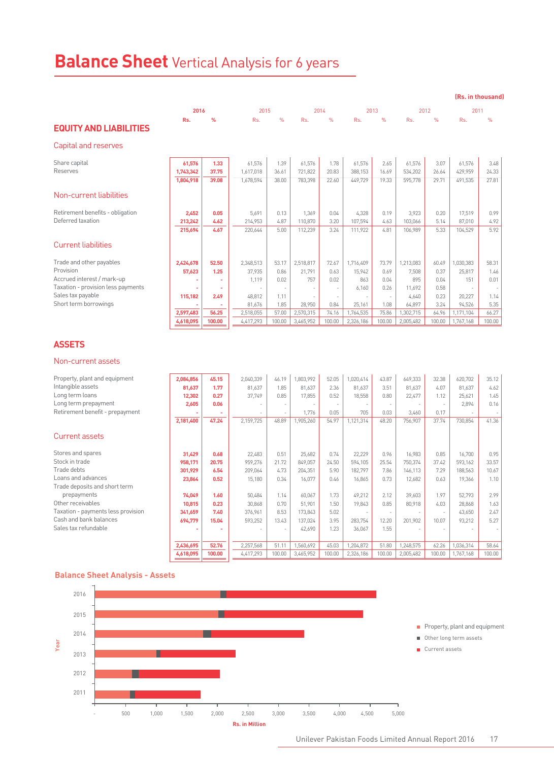# **Balance Sheet** Vertical Analysis for 6 years

**(Rs. in thousand)** 

|                                    | 2016      |        | 2015      |               |           | 2014          |           | 2013          | 2012      |               | 2011      |        |
|------------------------------------|-----------|--------|-----------|---------------|-----------|---------------|-----------|---------------|-----------|---------------|-----------|--------|
|                                    | Rs.       | %      | Rs.       | $\frac{9}{6}$ | Rs.       | $\frac{9}{6}$ | Rs.       | $\frac{9}{6}$ | Rs.       | $\frac{9}{6}$ | Rs.       | $\%$   |
| <b>EQUITY AND LIABILITIES</b>      |           |        |           |               |           |               |           |               |           |               |           |        |
| Capital and reserves               |           |        |           |               |           |               |           |               |           |               |           |        |
| Share capital                      | 61.576    | 1.33   | 61.576    | 1.39          | 61.576    | 1.78          | 61.576    | 2.65          | 61.576    | 3.07          | 61.576    | 3.48   |
| Reserves                           | 1,743,342 | 37.75  | 1,617,018 | 36.61         | 721,822   | 20.83         | 388,153   | 16.69         | 534.202   | 26.64         | 429.959   | 24.33  |
|                                    | 1,804,918 | 39.08  | 1,678,594 | 38.00         | 783.398   | 22.60         | 449.729   | 19.33         | 595.778   | 29.71         | 491.535   | 27.81  |
| Non-current liabilities            |           |        |           |               |           |               |           |               |           |               |           |        |
| Retirement benefits - obligation   | 2.452     | 0.05   | 5.691     | 0.13          | 1.369     | 0.04          | 4.328     | 0.19          | 3.923     | 0.20          | 17.519    | 0.99   |
| Deferred taxation                  | 213,242   | 4.62   | 214,953   | 4.87          | 110,870   | 3.20          | 107,594   | 4.63          | 103.066   | 5.14          | 87.010    | 4.92   |
|                                    | 215,694   | 4.67   | 220,644   | 5.00          | 112,239   | 3.24          | 111.922   | 4.81          | 106.989   | 5.33          | 104.529   | 5.92   |
| <b>Current liabilities</b>         |           |        |           |               |           |               |           |               |           |               |           |        |
| Trade and other payables           | 2.424.678 | 52.50  | 2.348.513 | 53.17         | 2.518.817 | 72.67         | 1.716.409 | 73.79         | 1.213.083 | 60.49         | 1.030.383 | 58.31  |
| Provision                          | 57,623    | 1.25   | 37.935    | 0.86          | 21.791    | 0.63          | 15.942    | 0.69          | 7.508     | 0.37          | 25.817    | 1.46   |
| Accrued interest / mark-up         |           |        | 1,119     | 0.02          | 757       | 0.02          | 863       | 0.04          | 895       | 0.04          | 151       | 0.01   |
| Taxation - provision less payments |           |        |           |               |           |               | 6.160     | 0.26          | 11.692    | 0.58          |           | $\sim$ |
| Sales tax payable                  | 115,182   | 2.49   | 48.812    | 1.11          |           |               |           | $\sim$        | 4,640     | 0.23          | 20,227    | 1.14   |
| Short term borrowings              |           |        | 81.676    | 1.85          | 28,950    | 0.84          | 25,161    | 1.08          | 64,897    | 3.24          | 94,526    | 5.35   |
|                                    | 2,597,483 | 56.25  | 2,518,055 | 57.00         | 2.570.315 | 74.16         | 1,764,535 | 75.86         | 1,302,715 | 64.96         | 1,171,104 | 66.27  |
|                                    | 4,618,095 | 100.00 | 4,417,293 | 100.00        | 3,465,952 | 100.00        | 2,326,186 | 100.00        | 2,005,482 | 100.00        | 1,767,168 | 100.00 |

### **ASSETS**

#### Non-current assets

| Property, plant and equipment      | 2,084,856 | 45.15  | 2,040,339 | 46.19  | ,803,992  | 52.05  | 1.020.414 | 43.87  | 649.333   | 32.38  | 620,702   | 35.12  |
|------------------------------------|-----------|--------|-----------|--------|-----------|--------|-----------|--------|-----------|--------|-----------|--------|
| Intangible assets                  | 81,637    | 1.77   | 81,637    | 1.85   | 81,637    | 2.36   | 81,637    | 3.51   | 81.637    | 4.07   | 81,637    | 4.62   |
| Long term loans                    | 12,302    | 0.27   | 37.749    | 0.85   | 17.855    | 0.52   | 18,558    | 0.80   | 22.477    | 1.12   | 25.621    | 1.45   |
| Long term prepayment               | 2,605     | 0.06   |           |        |           |        |           | ٠      |           |        | 2.894     | 0.16   |
| Retirement benefit - prepayment    |           |        |           |        | 1,776     | 0.05   | 705       | 0.03   | 3,460     | 0.17   |           |        |
|                                    | 2,181,400 | 47.24  | 2,159,725 | 48.89  | 1,905,260 | 54.97  | 1,121,314 | 48.20  | 756,907   | 37.74  | 730,854   | 41.36  |
| Current assets                     |           |        |           |        |           |        |           |        |           |        |           |        |
| Stores and spares                  | 31,429    | 0.68   | 22,483    | 0.51   | 25,682    | 0.74   | 22,229    | 0.96   | 16,983    | 0.85   | 16,700    | 0.95   |
| Stock in trade                     | 958,171   | 20.75  | 959,276   | 21.72  | 849.057   | 24.50  | 594.105   | 25.54  | 750.374   | 37.42  | 593.162   | 33.57  |
| Trade debts                        | 301,929   | 6.54   | 209,064   | 4.73   | 204,351   | 5.90   | 182,797   | 7.86   | 146.113   | 7.29   | 188,563   | 10.67  |
| Loans and advances                 | 23,864    | 0.52   | 15,180    | 0.34   | 16,077    | 0.46   | 16,865    | 0.73   | 12,682    | 0.63   | 19.366    | 1.10   |
| Trade deposits and short term      |           |        |           |        |           |        |           |        |           |        |           |        |
| prepayments                        | 74,049    | 1.60   | 50,484    | 1.14   | 60,067    | 1.73   | 49.212    | 2.12   | 39,603    | 1.97   | 52,793    | 2.99   |
| Other receivables                  | 10,815    | 0.23   | 30,868    | 0.70   | 51,901    | 1.50   | 19,843    | 0.85   | 80,918    | 4.03   | 28.868    | 1.63   |
| Taxation - payments less provision | 341,659   | 7.40   | 376,961   | 8.53   | 173,843   | 5.02   |           |        |           |        | 43,650    | 2.47   |
| Cash and bank balances             | 694,779   | 15.04  | 593,252   | 13.43  | 137,024   | 3.95   | 283,754   | 12.20  | 201,902   | 10.07  | 93,212    | 5.27   |
| Sales tax refundable               |           |        |           |        | 42,690    | 1.23   | 36,067    | 1.55   |           |        |           |        |
|                                    |           |        |           |        |           |        |           |        |           |        |           |        |
|                                    | 2.436.695 | 52.76  | 2,257,568 | 51.11  | 1.560.692 | 45.03  | 1,204,872 | 51.80  | 1,248,575 | 62.26  | 1,036,314 | 58.64  |
|                                    | 4,618,095 | 100.00 | 4,417,293 | 100.00 | 3,465,952 | 100.00 | 2,326,186 | 100.00 | 2,005,482 | 100.00 | 1,767,168 | 100.00 |

#### **Balance Sheet Analysis - Assets**

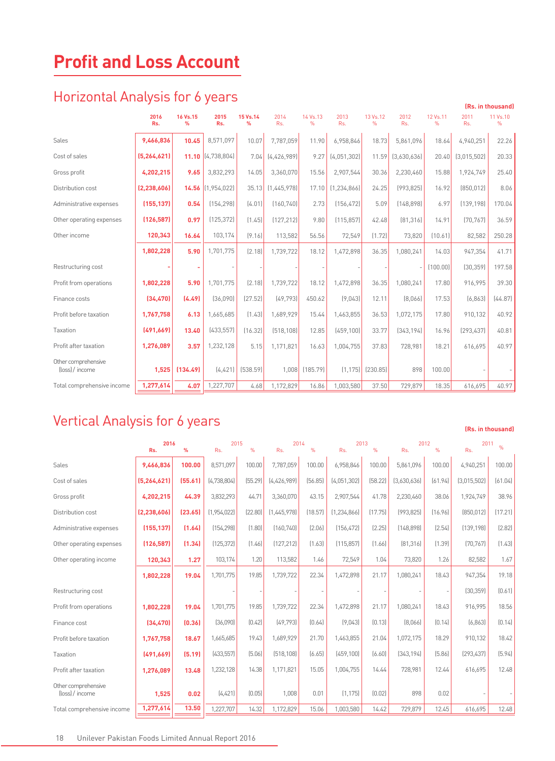# **Profit and Loss Account**

## Horizontal Analysis for 6 years

| <b>THE TECHNOLY WILD YOU SEEMS</b>     |               |                  |                       |               |             |                  |               |                  |             |               |             | (Rs. in thousand) |
|----------------------------------------|---------------|------------------|-----------------------|---------------|-------------|------------------|---------------|------------------|-------------|---------------|-------------|-------------------|
|                                        | 2016<br>Rs.   | 16 Vs.15<br>$\%$ | 2015<br>Rs.           | 15 Vs.14<br>% | 2014<br>Rs. | 14 Vs.13<br>$\%$ | 2013<br>Rs.   | 13 Vs.12<br>$\%$ | 2012<br>Rs. | 12 Vs.11<br>% | 2011<br>Rs. | 11 Vs.10<br>%     |
| Sales                                  | 9.466.836     | 10.45            | 8,571,097             | 10.07         | 7,787,059   | 11.90            | 6,958,846     | 18.73            | 5,861,096   | 18.64         | 4,940,251   | 22.26             |
| Cost of sales                          | (5, 264, 621) |                  | $11.10$ $(4,738,804)$ | 7.04          | [4,426,989] | 9.27             | [4,051,302]   | 11.59            | [3,630,636] | 20.40         | [3,015,502] | 20.33             |
| Gross profit                           | 4,202,215     | 9.65             | 3,832,293             | 14.05         | 3,360,070   | 15.56            | 2,907,544     | 30.36            | 2,230,460   | 15.88         | 1,924,749   | 25.40             |
| Distribution cost                      | (2, 238, 606) |                  | 14.56 (1,954,022)     | 35.13         | [1,445,978] | 17.10            | [1, 234, 866] | 24.25            | [993, 825]  | 16.92         | [850, 012]  | 8.06              |
| Administrative expenses                | (155, 137)    | 0.54             | (154, 298)            | [4.01]        | [160.740]   | 2.73             | [156.472]     | 5.09             | [148.898]   | 6.97          | [139.198]   | 170.04            |
| Other operating expenses               | (126, 587)    | 0.97             | (125, 372)            | (1.45)        | [127, 212]  | 9.80             | [115.857]     | 42.48            | [81, 316]   | 14.91         | [70.767]    | 36.59             |
| Other income                           | 120,343       | 16.64            | 103,174               | [9.16]        | 113,582     | 56.56            | 72,549        | [1.72]           | 73,820      | [10.61]       | 82,582      | 250.28            |
|                                        | 1,802,228     | 5.90             | 1,701,775             | [2.18]        | 1,739,722   | 18.12            | 1,472,898     | 36.35            | 1,080,241   | 14.03         | 947,354     | 41.71             |
| Restructuring cost                     |               |                  |                       |               |             |                  |               |                  |             | [100.00]      | (30, 359)   | 197.58            |
| Profit from operations                 | 1,802,228     | 5.90             | 1,701,775             | [2.18]        | 1,739,722   | 18.12            | 1,472,898     | 36.35            | 1,080,241   | 17.80         | 916,995     | 39.30             |
| Finance costs                          | (34, 470)     | (4.49)           | (36,090)              | [27.52]       | [49, 793]   | 450.62           | (9,043)       | 12.11            | [8,066]     | 17.53         | [6, 863]    | [44.87]           |
| Profit before taxation                 | 1,767,758     | 6.13             | 1,665,685             | [1.43]        | 1,689,929   | 15.44            | 1,463,855     | 36.53            | 1,072,175   | 17.80         | 910,132     | 40.92             |
| Taxation                               | (491, 669)    | 13.40            | [433, 557]            | [16.32]       | [518.108]   | 12.85            | (459, 100)    | 33.77            | [343.194]   | 16.96         | [293, 437]  | 40.81             |
| Profit after taxation                  | 1,276,089     | 3.57             | 1,232,128             | 5.15          | 1,171,821   | 16.63            | 1.004.755     | 37.83            | 728.981     | 18.21         | 616,695     | 40.97             |
| Other comprehensive<br>(loss) / income | 1,525         | (134.49)         | [4, 421]              | [538.59]      | 1,008       | (185.79)         | (1, 175)      | [230.85]         | 898         | 100.00        |             |                   |
| Total comprehensive income             | 1,277,614     | 4.07             | 1,227,707             | 4.68          | 1,172,829   | 16.86            | 1,003,580     | 37.50            | 729,879     | 18.35         | 616,695     | 40.97             |

## Vertical Analysis for 6 years **(Rs. in thousand)**

#### **<sup>2016</sup>**2015 2014 2013 2012 2011 % **Rs. %** Rs. % Rs. % Rs. % Rs. % Rs. Sales Cost of sales Gross profit Distribution cost Administrative expenses Other operating expenses Other operating income Restructuring cost Profit from operations Finance cost Profit before taxation Taxation Profit after taxation Other comprehensive (loss) / income Total comprehensive income  **9,466,836 (5,264,621) 4,202,215 (2,238,606) (155,137) (126,587) 120,343 1,802,228 1,802,228 (34,470) 1,767,758 (491,669) 1,276,089 1,525 1,277,614 100.00 (55.61) 44.39 (23.65) (1.64) (1.34) 1.27 19.04 19.04 (0.36) 18.67 (5.19) 13.48 0.02 13.50**  8,571,097 100.00 7,787,059 100.00 6,958,846 100.00 5,861,096 100.00 4,940,251 100.00 (4,738,804) (55.29) (4,426,989) (56.85) (4,051,302) (58.22) (3,630,636) (61.94) (3,015,502) (61.04) 3,832,293 44.71 3,360,070 43.15 2,907,544 41.78 2,230,460 38.06 1,924,749 38.96 (1,954,022) (22.80) (1,445,978) (18.57) (1,234,866) (17.75) (993,825) (16.96) (850,012) (17.21) (154,298) (1.80) (160,740) (2.06) (156,472) (2.25) (148,898) (2.54) (139,198) (2.82) (125,372) (1.46) (127,212) (1.63) (115,857) (1.66) (81,316) (1.39) (70,767) (1.43) 103,174 1.20 113,582 1.46 72,549 1.04 73,820 1.26 82,582 1.67 1,701,775 19.85 1,739,722 22.34 1,472,898 21.17 1,080,241 18.43 947,354 19.18 - | - | - | - | - | - | - | (30,359) (0.61) 1,701,775 19.85 1,739,722 22.34 1,472,898 21.17 1,080,241 18.43 916,995 18.56 (36,090) (0.42) (49,793) (0.64) (9,043) (0.13) (8,066) (0.14) (6,863) (0.14) 1,665,685 19.43 1,689,929 21.70 1,463,855 21.04 1,072,175 18.29 910,132 18.42 (433,557) (5.06) (518,108) (6.65) (459,100) (6.60) (343,194) (5.86) (293,437) (5.94) 1,232,128 14.38 1,171,821 15.05 1,004,755 14.44 728,981 12.44 616,695 12.48  $(4,421)$   $(0.05)$  1,008 0.01 (1,175) (0.02) 898 0.02 - -1,227,707 14.32 1,172,829 15.06 1,003,580 14.42 729,879 12.45 616,695 12.48